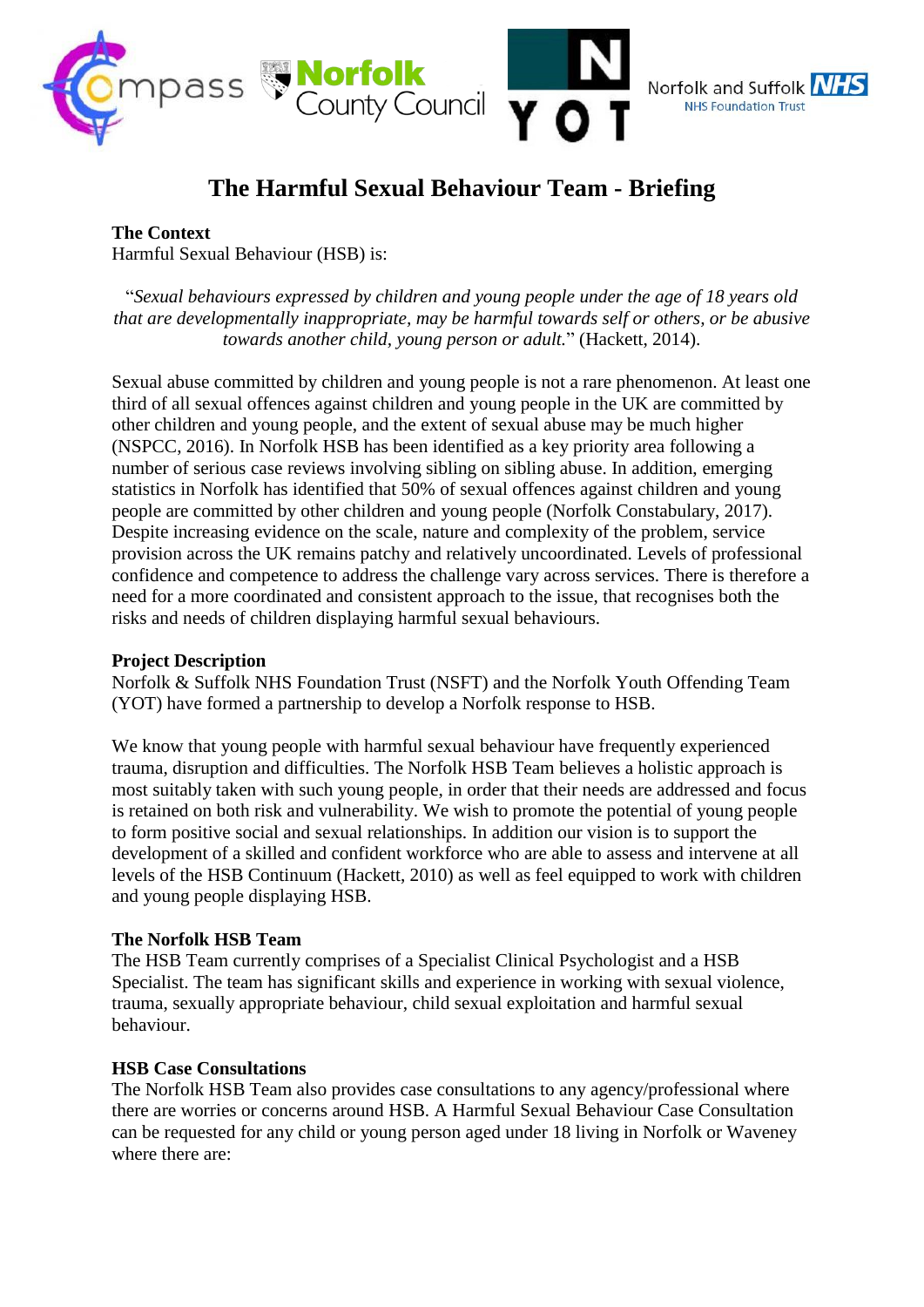

# **The Harmful Sexual Behaviour Team - Briefing**

**The Context**

Harmful Sexual Behaviour (HSB) is:

"*Sexual behaviours expressed by children and young people under the age of 18 years old that are developmentally inappropriate, may be harmful towards self or others, or be abusive towards another child, young person or adult.*" (Hackett, 2014).

Sexual abuse committed by children and young people is not a rare phenomenon. At least one third of all sexual offences against children and young people in the UK are committed by other children and young people, and the extent of sexual abuse may be much higher (NSPCC, 2016). In Norfolk HSB has been identified as a key priority area following a number of serious case reviews involving sibling on sibling abuse. In addition, emerging statistics in Norfolk has identified that 50% of sexual offences against children and young people are committed by other children and young people (Norfolk Constabulary, 2017). Despite increasing evidence on the scale, nature and complexity of the problem, service provision across the UK remains patchy and relatively uncoordinated. Levels of professional confidence and competence to address the challenge vary across services. There is therefore a need for a more coordinated and consistent approach to the issue, that recognises both the risks and needs of children displaying harmful sexual behaviours.

### **Project Description**

Norfolk & Suffolk NHS Foundation Trust (NSFT) and the Norfolk Youth Offending Team (YOT) have formed a partnership to develop a Norfolk response to HSB.

We know that young people with harmful sexual behaviour have frequently experienced trauma, disruption and difficulties. The Norfolk HSB Team believes a holistic approach is most suitably taken with such young people, in order that their needs are addressed and focus is retained on both risk and vulnerability. We wish to promote the potential of young people to form positive social and sexual relationships. In addition our vision is to support the development of a skilled and confident workforce who are able to assess and intervene at all levels of the HSB Continuum (Hackett, 2010) as well as feel equipped to work with children and young people displaying HSB.

#### **The Norfolk HSB Team**

The HSB Team currently comprises of a Specialist Clinical Psychologist and a HSB Specialist. The team has significant skills and experience in working with sexual violence, trauma, sexually appropriate behaviour, child sexual exploitation and harmful sexual behaviour.

#### **HSB Case Consultations**

The Norfolk HSB Team also provides case consultations to any agency/professional where there are worries or concerns around HSB. A Harmful Sexual Behaviour Case Consultation can be requested for any child or young person aged under 18 living in Norfolk or Waveney where there are: